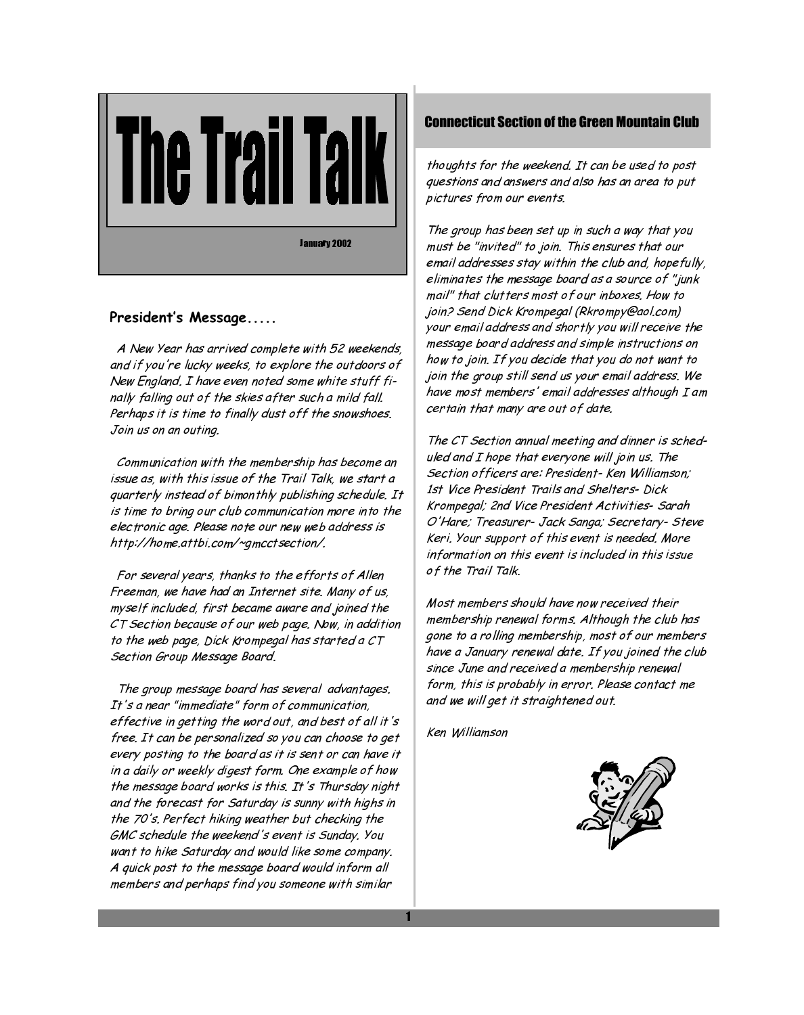

### President's Message.....

A New Year has arrived complete with 52 weekends, and if you're lucky weeks, to explore the outdoors of New England. I have even noted some white stuff finally falling out of the skies after such a mild fall. Perhaps it is time to finally dust off the snowshoes. Join us on an outing.

Communication with the membership has become an issue as, with this issue of the Trail Talk, we start a quarterly instead of bimonthly publishing schedule. It is time to bring our club communication more into the electronic age. Please note our new web address is http://home.attbi.com/~gmcctsection/.

For several years, thanks to the efforts of Allen Freeman, we have had an Internet site. Many of us, myself included, first became aware and joined the CT Section because of our web page. Now, in addition to the web page, Dick Krompegal has started a CT Section Group Message Board.

The group message board has several advantages. It's a near "immediate" form of communication, effective in getting the word out, and best of all it's free. It can be personalized so you can choose to get every posting to the board as it is sent or can have it in a daily or weekly digest form. One example of how the message board works is this. It's Thursday night and the forecast for Saturday is sunny with highs in the 70's. Perfect hiking weather but checking the GMC schedule the weekend's event is Sunday. You want to hike Saturday and would like some company. A quick post to the message board would inform all members and perhaps find you someone with similar

## **Connecticut Section of the Green Mountain Club**

thoughts for the weekend. It can be used to post questions and answers and also has an area to put pictures from our events.

The group has been set up in such a way that you must be "invited" to join. This ensures that our email addresses stay within the club and, hopefully, eliminates the message board as a source of "junk mail" that clutters most of our inboxes. How to join? Send Dick Krompegal (Rkrompy@aol.com) your email address and shortly you will receive the message board address and simple instructions on how to join. If you decide that you do not want to join the group still send us your email address. We have most members' email addresses although I am certain that many are out of date.

The CT Section annual meeting and dinner is scheduled and I hope that everyone will join us. The Section officers are: President- Ken Williamson; 1st Vice President Trails and Shelters-Dick Krompegal; 2nd Vice President Activities- Sarah O'Hare; Treasurer- Jack Sanga; Secretary- Steve Keri. Your support of this event is needed. More information on this event is included in this issue of the Trail Talk.

Most members should have now received their membership renewal forms. Although the club has gone to a rolling membership, most of our members have a January renewal date. If you joined the club since June and received a membership renewal form, this is probably in error. Please contact me and we will get it straightened out.

Ken Williamson

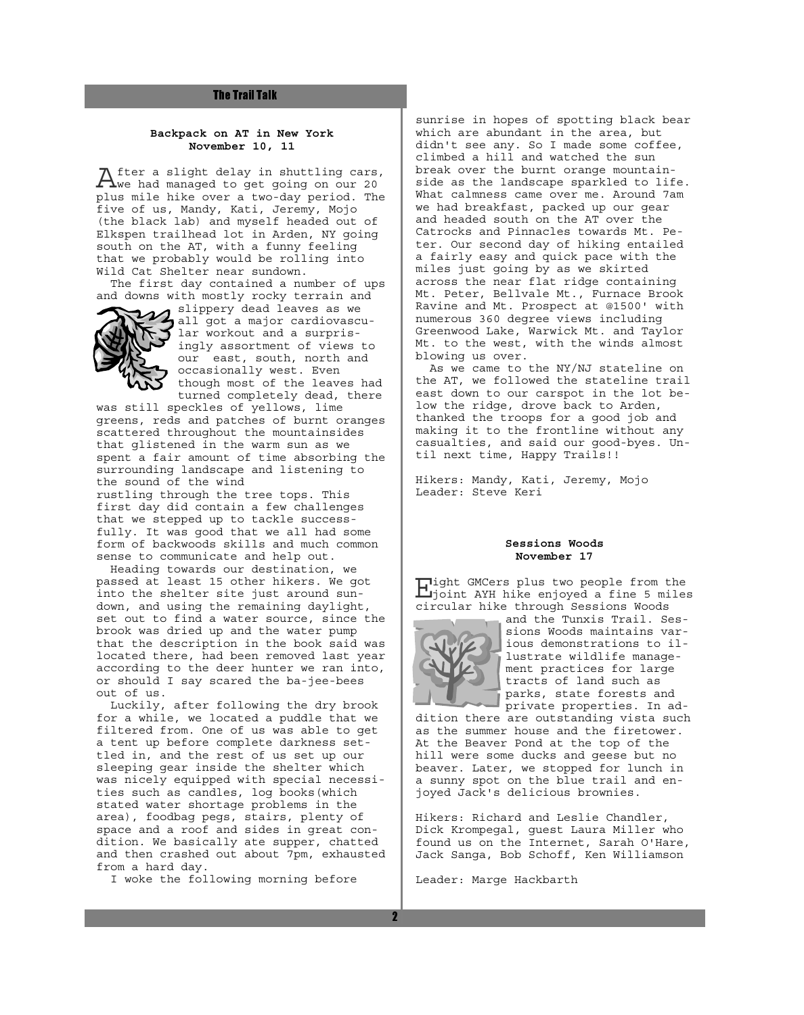#### **The Trail Talk**

#### **Backpack on AT in New York November 10, 11**

After a slight delay in shuttling cars,<br>We had managed to get going on our 20 plus mile hike over a two-day period. The five of us, Mandy, Kati, Jeremy, Mojo (the black lab) and myself headed out of Elkspen trailhead lot in Arden, NY going south on the AT, with a funny feeling that we probably would be rolling into Wild Cat Shelter near sundown.

 The first day contained a number of ups and downs with mostly rocky terrain and  $\boldsymbol{\mathcal{U}}$  slippery dead leaves as we



all got a major cardiovascular workout and a surprisingly assortment of views to our east, south, north and occasionally west. Even though most of the leaves had turned completely dead, there

was still speckles of yellows, lime greens, reds and patches of burnt oranges scattered throughout the mountainsides that glistened in the warm sun as we spent a fair amount of time absorbing the surrounding landscape and listening to the sound of the wind

rustling through the tree tops. This first day did contain a few challenges that we stepped up to tackle successfully. It was good that we all had some form of backwoods skills and much common sense to communicate and help out.

 Heading towards our destination, we passed at least 15 other hikers. We got into the shelter site just around sundown, and using the remaining daylight, set out to find a water source, since the brook was dried up and the water pump that the description in the book said was located there, had been removed last year according to the deer hunter we ran into, or should I say scared the ba-jee-bees out of us.

 Luckily, after following the dry brook for a while, we located a puddle that we filtered from. One of us was able to get a tent up before complete darkness settled in, and the rest of us set up our sleeping gear inside the shelter which was nicely equipped with special necessities such as candles, log books(which stated water shortage problems in the area), foodbag pegs, stairs, plenty of space and a roof and sides in great condition. We basically ate supper, chatted and then crashed out about 7pm, exhausted from a hard day.

I woke the following morning before

sunrise in hopes of spotting black bear which are abundant in the area, but didn't see any. So I made some coffee, climbed a hill and watched the sun break over the burnt orange mountainside as the landscape sparkled to life. What calmness came over me. Around 7am we had breakfast, packed up our gear and headed south on the AT over the Catrocks and Pinnacles towards Mt. Peter. Our second day of hiking entailed a fairly easy and quick pace with the miles just going by as we skirted across the near flat ridge containing Mt. Peter, Bellvale Mt., Furnace Brook Ravine and Mt. Prospect at @1500' with numerous 360 degree views including Greenwood Lake, Warwick Mt. and Taylor Mt. to the west, with the winds almost blowing us over.

 As we came to the NY/NJ stateline on the AT, we followed the stateline trail east down to our carspot in the lot below the ridge, drove back to Arden, thanked the troops for a good job and making it to the frontline without any casualties, and said our good-byes. Until next time, Happy Trails!!

Hikers: Mandy, Kati, Jeremy, Mojo Leader: Steve Keri

#### **Sessions Woods November 17**

Eight GMCers plus two people from the joint AYH hike enjoyed a fine 5 miles circular hike through Sessions Woods



and the Tunxis Trail. Sessions Woods maintains various demonstrations to illustrate wildlife management practices for large tracts of land such as parks, state forests and private properties. In ad-

dition there are outstanding vista such as the summer house and the firetower. At the Beaver Pond at the top of the hill were some ducks and geese but no beaver. Later, we stopped for lunch in a sunny spot on the blue trail and enjoyed Jack's delicious brownies.

Hikers: Richard and Leslie Chandler, Dick Krompegal, guest Laura Miller who found us on the Internet, Sarah O'Hare, Jack Sanga, Bob Schoff, Ken Williamson

Leader: Marge Hackbarth

 $\overline{2}$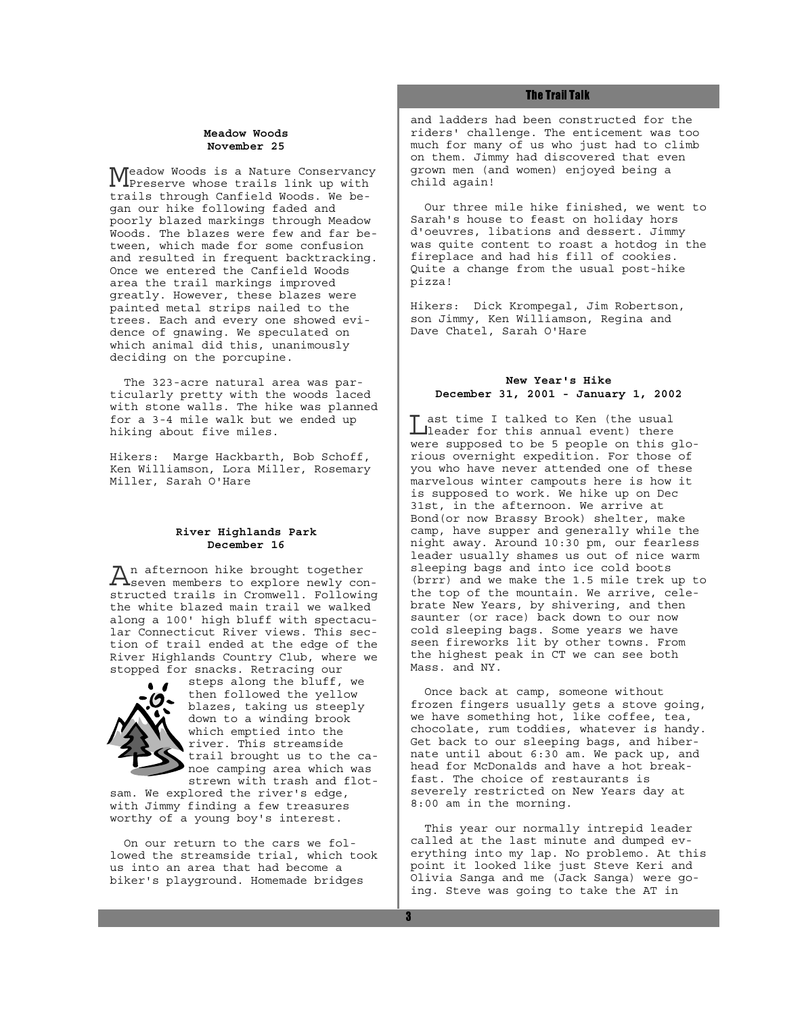#### **Meadow Woods November 25**

Meadow Woods is a Nature Conservancy Preserve whose trails link up with trails through Canfield Woods. We began our hike following faded and poorly blazed markings through Meadow Woods. The blazes were few and far between, which made for some confusion and resulted in frequent backtracking. Once we entered the Canfield Woods area the trail markings improved greatly. However, these blazes were painted metal strips nailed to the trees. Each and every one showed evidence of gnawing. We speculated on which animal did this, unanimously deciding on the porcupine.

 The 323-acre natural area was particularly pretty with the woods laced with stone walls. The hike was planned for a 3-4 mile walk but we ended up hiking about five miles.

Hikers: Marge Hackbarth, Bob Schoff, Ken Williamson, Lora Miller, Rosemary Miller, Sarah O'Hare

#### **River Highlands Park December 16**

An afternoon hike brought together<br>Seven members to explore newly constructed trails in Cromwell. Following the white blazed main trail we walked along a 100' high bluff with spectacular Connecticut River views. This section of trail ended at the edge of the River Highlands Country Club, where we stopped for snacks. Retracing our



steps along the bluff, we then followed the yellow blazes, taking us steeply down to a winding brook which emptied into the river. This streamside trail brought us to the canoe camping area which was strewn with trash and flot-

sam. We explored the river's edge, with Jimmy finding a few treasures worthy of a young boy's interest.

 On our return to the cars we followed the streamside trial, which took us into an area that had become a biker's playground. Homemade bridges

#### **The Trail Talk**

and ladders had been constructed for the riders' challenge. The enticement was too much for many of us who just had to climb on them. Jimmy had discovered that even grown men (and women) enjoyed being a child again!

 Our three mile hike finished, we went to Sarah's house to feast on holiday hors d'oeuvres, libations and dessert. Jimmy was quite content to roast a hotdog in the fireplace and had his fill of cookies. Quite a change from the usual post-hike pizza!

Hikers: Dick Krompegal, Jim Robertson, son Jimmy, Ken Williamson, Regina and Dave Chatel, Sarah O'Hare

#### **New Year's Hike December 31, 2001 - January 1, 2002**

I ast time I talked to Ken (the usual<br>
lleader for this annual event) there were supposed to be 5 people on this glorious overnight expedition. For those of you who have never attended one of these marvelous winter campouts here is how it is supposed to work. We hike up on Dec 31st, in the afternoon. We arrive at Bond(or now Brassy Brook) shelter, make camp, have supper and generally while the night away. Around 10:30 pm, our fearless leader usually shames us out of nice warm sleeping bags and into ice cold boots (brrr) and we make the 1.5 mile trek up to the top of the mountain. We arrive, celebrate New Years, by shivering, and then saunter (or race) back down to our now cold sleeping bags. Some years we have seen fireworks lit by other towns. From the highest peak in CT we can see both Mass. and NY.

 Once back at camp, someone without frozen fingers usually gets a stove going, we have something hot, like coffee, tea, chocolate, rum toddies, whatever is handy. Get back to our sleeping bags, and hibernate until about 6:30 am. We pack up, and head for McDonalds and have a hot breakfast. The choice of restaurants is severely restricted on New Years day at 8:00 am in the morning.

 This year our normally intrepid leader called at the last minute and dumped everything into my lap. No problemo. At this point it looked like just Steve Keri and Olivia Sanga and me (Jack Sanga) were going. Steve was going to take the AT in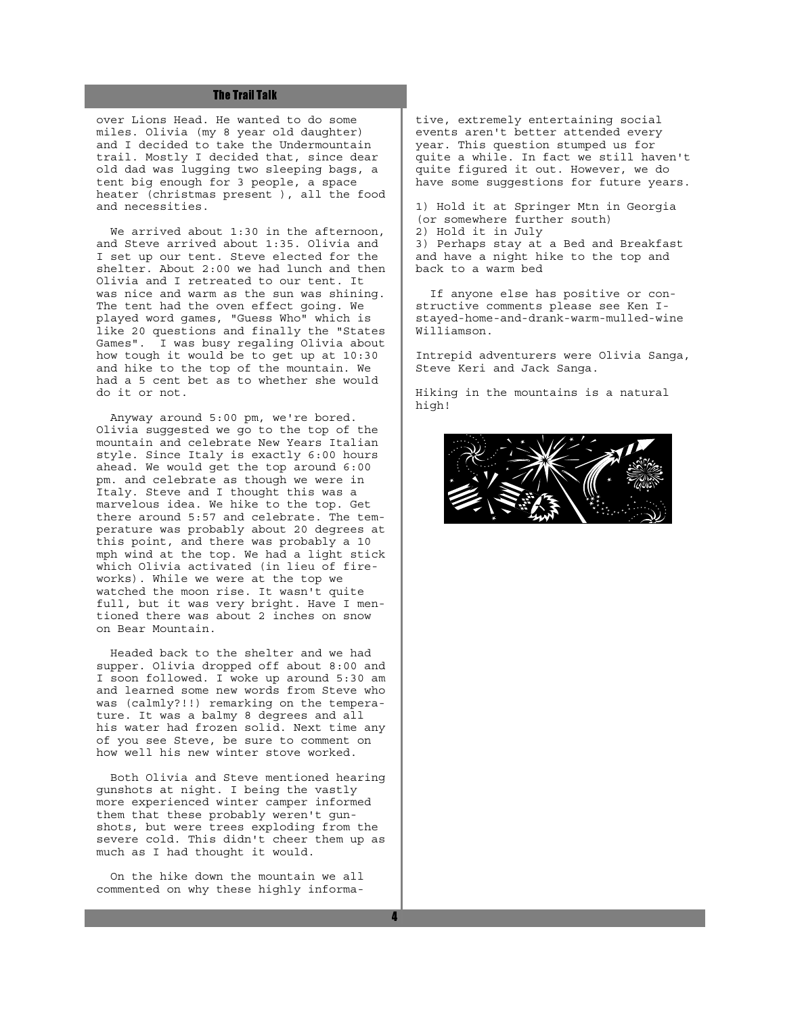#### **The Trail Talk**

over Lions Head. He wanted to do some miles. Olivia (my 8 year old daughter) and I decided to take the Undermountain trail. Mostly I decided that, since dear old dad was lugging two sleeping bags, a tent big enough for 3 people, a space heater (christmas present ), all the food and necessities.

We arrived about 1:30 in the afternoon, and Steve arrived about 1:35. Olivia and I set up our tent. Steve elected for the shelter. About 2:00 we had lunch and then Olivia and I retreated to our tent. It was nice and warm as the sun was shining. The tent had the oven effect going. We played word games, "Guess Who" which is like 20 questions and finally the "States Games". I was busy regaling Olivia about how tough it would be to get up at 10:30 and hike to the top of the mountain. We had a 5 cent bet as to whether she would do it or not.

 Anyway around 5:00 pm, we're bored. Olivia suggested we go to the top of the mountain and celebrate New Years Italian style. Since Italy is exactly 6:00 hours ahead. We would get the top around 6:00 pm. and celebrate as though we were in Italy. Steve and I thought this was a marvelous idea. We hike to the top. Get there around 5:57 and celebrate. The temperature was probably about 20 degrees at this point, and there was probably a 10 mph wind at the top. We had a light stick which Olivia activated (in lieu of fireworks). While we were at the top we watched the moon rise. It wasn't quite full, but it was very bright. Have I mentioned there was about 2 inches on snow on Bear Mountain.

 Headed back to the shelter and we had supper. Olivia dropped off about 8:00 and I soon followed. I woke up around 5:30 am and learned some new words from Steve who was (calmly?!!) remarking on the temperature. It was a balmy 8 degrees and all his water had frozen solid. Next time any of you see Steve, be sure to comment on how well his new winter stove worked.

 Both Olivia and Steve mentioned hearing gunshots at night. I being the vastly more experienced winter camper informed them that these probably weren't gunshots, but were trees exploding from the severe cold. This didn't cheer them up as much as I had thought it would.

 On the hike down the mountain we all commented on why these highly informative, extremely entertaining social events aren't better attended every year. This question stumped us for quite a while. In fact we still haven't quite figured it out. However, we do have some suggestions for future years.

1) Hold it at Springer Mtn in Georgia (or somewhere further south) 2) Hold it in July 3) Perhaps stay at a Bed and Breakfast and have a night hike to the top and back to a warm bed

 If anyone else has positive or constructive comments please see Ken Istayed-home-and-drank-warm-mulled-wine Williamson.

Intrepid adventurers were Olivia Sanga, Steve Keri and Jack Sanga.

Hiking in the mountains is a natural high!

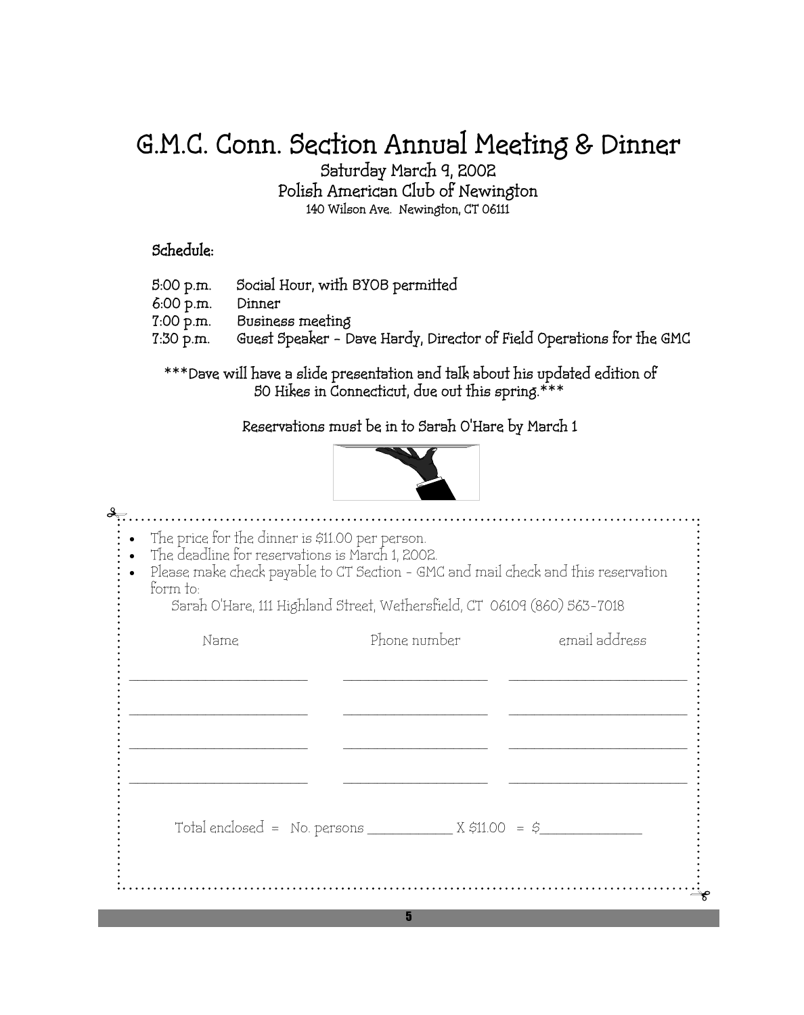# G.M.C. Conn. Section Annual Meeting & Dinner

Saturday March 9, 2002

Polish American Club of Newington 140 Wilson Ave. Newington, CT 06111

## Schedule:

- 5:00 p.m. Social Hour, with BYOB permitted 6:00 p.m. Dinner 7:00 p.m. Business meeting 7:30 p.m. Guest Speaker – Dave Hardy, Director of Field Operations for the GMC
	- \*\*\*Dave will have a slide presentation and talk about his updated edition of 50 Hikes in Connecticut, due out this spring.\*\*\*

Reservations must be in to Sarah O'Hare by March 1



| • The price for the dinner is \$11.00 per person.<br>The deadline for reservations is March 1, 2002.<br>form to: | Please make check payable to CT Section - GMC and mail check and this reservation<br>Sarah O'Hare, 111 Highland Street, Wethersfield, CT 06109 (860) 563-7018 |               |
|------------------------------------------------------------------------------------------------------------------|---------------------------------------------------------------------------------------------------------------------------------------------------------------|---------------|
| Name                                                                                                             | Phone number                                                                                                                                                  | email address |
|                                                                                                                  |                                                                                                                                                               |               |
|                                                                                                                  |                                                                                                                                                               |               |
|                                                                                                                  | Total enclosed = No. persons $X \approx 11.00 = 5$                                                                                                            |               |
|                                                                                                                  |                                                                                                                                                               |               |